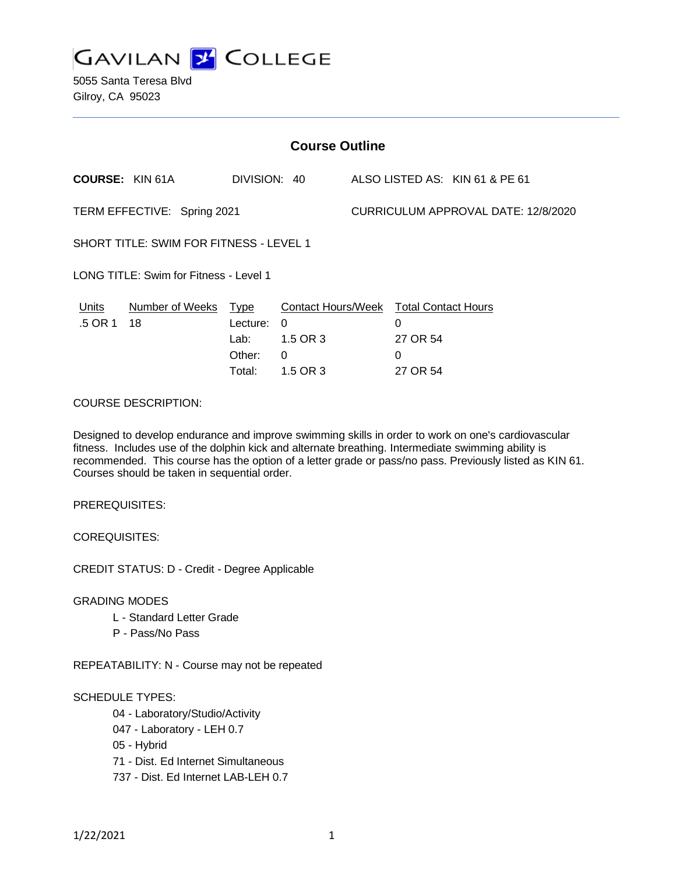

5055 Santa Teresa Blvd Gilroy, CA 95023

| <b>Course Outline</b>                          |                            |                                      |                                                                                               |                                     |                                |                                |
|------------------------------------------------|----------------------------|--------------------------------------|-----------------------------------------------------------------------------------------------|-------------------------------------|--------------------------------|--------------------------------|
| <b>COURSE: KIN 61A</b>                         |                            |                                      | DIVISION: 40                                                                                  |                                     |                                | ALSO LISTED AS: KIN 61 & PE 61 |
| TERM EFFECTIVE: Spring 2021                    |                            |                                      |                                                                                               | CURRICULUM APPROVAL DATE: 12/8/2020 |                                |                                |
| <b>SHORT TITLE: SWIM FOR FITNESS - LEVEL 1</b> |                            |                                      |                                                                                               |                                     |                                |                                |
| LONG TITLE: Swim for Fitness - Level 1         |                            |                                      |                                                                                               |                                     |                                |                                |
| <u>Units</u><br>.5 OR 1                        | Number of Weeks Type<br>18 | Lecture:<br>Lab:<br>Other:<br>Total: | <b>Contact Hours/Week Total Contact Hours</b><br>$\Omega$<br>1.5 OR 3<br>$\Omega$<br>1.5 OR 3 |                                     | 0<br>27 OR 54<br>0<br>27 OR 54 |                                |
| <b>COURSE DESCRIPTION:</b>                     |                            |                                      |                                                                                               |                                     |                                |                                |

Designed to develop endurance and improve swimming skills in order to work on one's cardiovascular fitness. Includes use of the dolphin kick and alternate breathing. Intermediate swimming ability is recommended. This course has the option of a letter grade or pass/no pass. Previously listed as KIN 61.

PREREQUISITES:

COREQUISITES:

CREDIT STATUS: D - Credit - Degree Applicable

Courses should be taken in sequential order.

GRADING MODES

- L Standard Letter Grade
- P Pass/No Pass

REPEATABILITY: N - Course may not be repeated

SCHEDULE TYPES:

- 04 Laboratory/Studio/Activity
- 047 Laboratory LEH 0.7
- 05 Hybrid
- 71 Dist. Ed Internet Simultaneous
- 737 Dist. Ed Internet LAB-LEH 0.7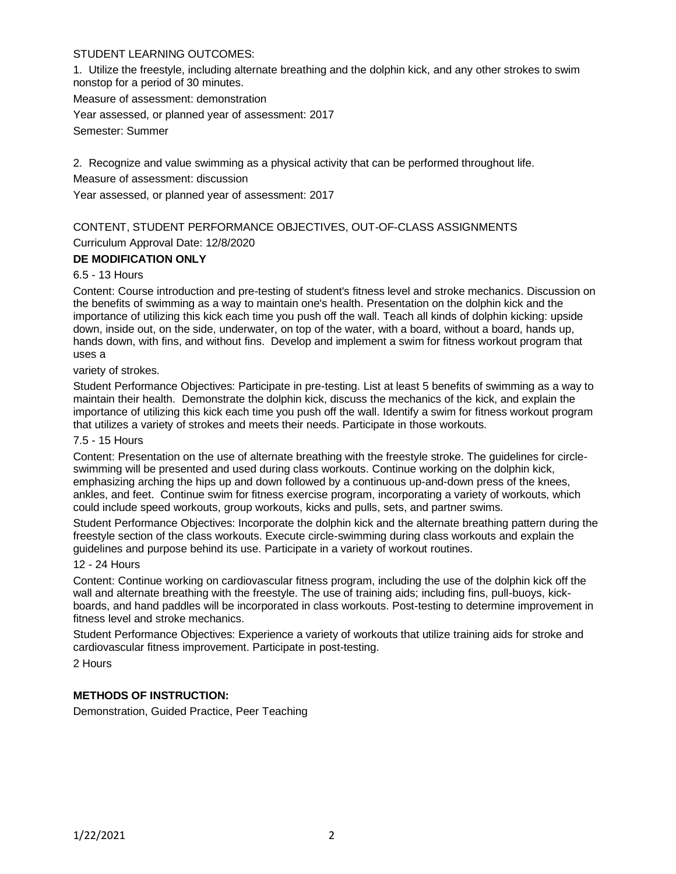# STUDENT LEARNING OUTCOMES:

1. Utilize the freestyle, including alternate breathing and the dolphin kick, and any other strokes to swim nonstop for a period of 30 minutes.

Measure of assessment: demonstration

Year assessed, or planned year of assessment: 2017

Semester: Summer

2. Recognize and value swimming as a physical activity that can be performed throughout life.

Measure of assessment: discussion

Year assessed, or planned year of assessment: 2017

# CONTENT, STUDENT PERFORMANCE OBJECTIVES, OUT-OF-CLASS ASSIGNMENTS

Curriculum Approval Date: 12/8/2020

# **DE MODIFICATION ONLY**

# 6.5 - 13 Hours

Content: Course introduction and pre-testing of student's fitness level and stroke mechanics. Discussion on the benefits of swimming as a way to maintain one's health. Presentation on the dolphin kick and the importance of utilizing this kick each time you push off the wall. Teach all kinds of dolphin kicking: upside down, inside out, on the side, underwater, on top of the water, with a board, without a board, hands up, hands down, with fins, and without fins. Develop and implement a swim for fitness workout program that uses a

variety of strokes.

Student Performance Objectives: Participate in pre-testing. List at least 5 benefits of swimming as a way to maintain their health. Demonstrate the dolphin kick, discuss the mechanics of the kick, and explain the importance of utilizing this kick each time you push off the wall. Identify a swim for fitness workout program that utilizes a variety of strokes and meets their needs. Participate in those workouts.

#### 7.5 - 15 Hours

Content: Presentation on the use of alternate breathing with the freestyle stroke. The guidelines for circleswimming will be presented and used during class workouts. Continue working on the dolphin kick, emphasizing arching the hips up and down followed by a continuous up-and-down press of the knees, ankles, and feet. Continue swim for fitness exercise program, incorporating a variety of workouts, which could include speed workouts, group workouts, kicks and pulls, sets, and partner swims.

Student Performance Objectives: Incorporate the dolphin kick and the alternate breathing pattern during the freestyle section of the class workouts. Execute circle-swimming during class workouts and explain the guidelines and purpose behind its use. Participate in a variety of workout routines.

# 12 - 24 Hours

Content: Continue working on cardiovascular fitness program, including the use of the dolphin kick off the wall and alternate breathing with the freestyle. The use of training aids; including fins, pull-buoys, kickboards, and hand paddles will be incorporated in class workouts. Post-testing to determine improvement in fitness level and stroke mechanics.

Student Performance Objectives: Experience a variety of workouts that utilize training aids for stroke and cardiovascular fitness improvement. Participate in post-testing.

2 Hours

# **METHODS OF INSTRUCTION:**

Demonstration, Guided Practice, Peer Teaching